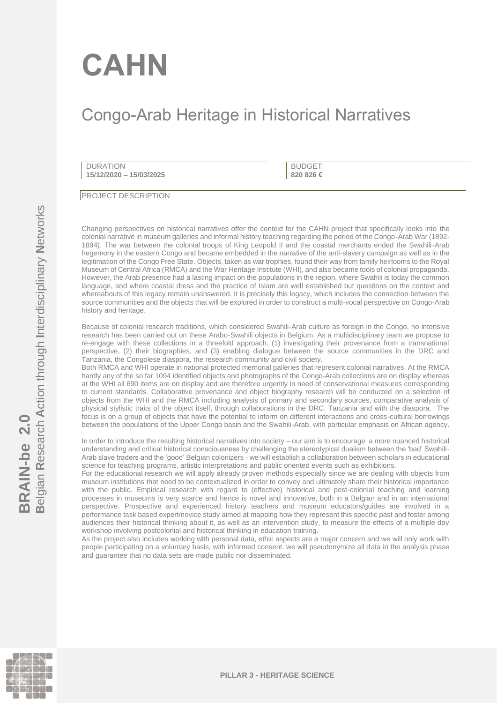# **CAHN**

## Congo-Arab Heritage in Historical Narratives

DURATION **15/12/2020 – 15/03/2025**

BUDGET **820 826 €**

PROJECT DESCRIPTION

Changing perspectives on historical narratives offer the context for the CAHN project that specifically looks into the colonial narrative in museum galleries and informal history teaching regarding the period of the Congo-Arab War (1892- 1894). The war between the colonial troops of King Leopold II and the coastal merchants ended the Swahili-Arab hegemony in the eastern Congo and became embedded in the narrative of the anti-slavery campaign as well as in the legitimation of the Congo Free State. Objects, taken as war trophies, found their way from family heirlooms to the Royal Museum of Central Africa (RMCA) and the War Heritage Institute (WHI), and also became tools of colonial propaganda. However, the Arab presence had a lasting impact on the populations in the region, where Swahili is today the common language, and where coastal dress and the practice of Islam are well established but questions on the context and whereabouts of this legacy remain unanswered. It is precisely this legacy, which includes the connection between the source communities and the objects that will be explored in order to construct a multi-vocal perspective on Congo-Arab history and heritage.

Because of colonial research traditions, which considered Swahili-Arab culture as foreign in the Congo, no intensive research has been carried out on these Arabo-Swahili objects in Belgium. As a multidisciplinary team we propose to re-engage with these collections in a threefold approach, (1) investigating their provenance from a transnational perspective, (2) their biographies, and (3) enabling dialogue between the source communities in the DRC and Tanzania, the Congolese diaspora, the research community and civil society.

Both RMCA and WHI operate in national protected memorial galleries that represent colonial narratives. At the RMCA hardly any of the so far 1094 identified objects and photographs of the Congo-Arab collections are on display whereas at the WHI all 690 items are on display and are therefore urgently in need of conservational measures corresponding to current standards. Collaborative provenance and object biography research will be conducted on a selection of objects from the WHI and the RMCA including analysis of primary and secondary sources, comparative analysis of physical stylistic traits of the object itself, through collaborations in the DRC, Tanzania and with the diaspora. The focus is on a group of objects that have the potential to inform on different interactions and cross-cultural borrowings between the populations of the Upper Congo basin and the Swahili-Arab, with particular emphasis on African agency.

In order to introduce the resulting historical narratives into society – our aim is to encourage a more nuanced historical understanding and critical historical consciousness by challenging the stereotypical dualism between the 'bad' Swahili-Arab slave traders and the 'good' Belgian colonizers - we will establish a collaboration between scholars in educational science for teaching programs, artistic interpretations and public oriented events such as exhibitions.

For the educational research we will apply already proven methods especially since we are dealing with objects from museum institutions that need to be contextualized in order to convey and ultimately share their historical importance with the public. Empirical research with regard to (effective) historical and post-colonial teaching and learning processes in museums is very scarce and hence is novel and innovative, both in a Belgian and in an international perspective. Prospective and experienced history teachers and museum educators/guides are involved in a performance task based expert/novice study aimed at mapping how they represent this specific past and foster among audiences their historical thinking about it, as well as an intervention study, to measure the effects of a multiple day workshop involving postcolonial and historical thinking in education training.

As the project also includes working with personal data, ethic aspects are a major concern and we will only work with people participating on a voluntary basis, with informed consent, we will pseudonymize all data in the analysis phase and guarantee that no data sets are made public nor disseminated.